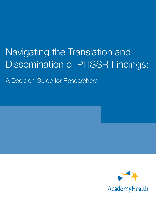# Navigating the Translation and Dissemination of PHSSR Findings:

A Decision Guide for Researchers

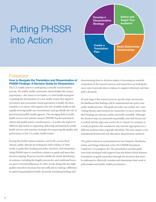# Putting PHSSR into Action



### Foreword

#### How to Navigate the Translation and Dissemination of PHSSR Findings: A Decision Guide for Researchers

The U.S. health system is undergoing a critically transformative process. The public health community acknowledges this unique opportunity—the chance to be leaders, or 'chief health strategists,' in guiding the development of a new health system that supports prevention and community-based approaches to health. Yet there certainly is no clarity with regard to the role of public health in this rapidly evolving health care environment, and specifically the role of governmental public health agencies. The emerging field of public health services and systems research (PHSSR) has the potential to inform this health system transformation—it studies the impact of different approaches to organizing, delivering, and paying for public health services and examines strategies for improving the quality and performance of the U.S. public health system.

During this health system evolution, and in the current fiscal climate, public officials are looking for solid evidence of what works to guide their funding and policy decisions. And researchers doing PHSSR want to contribute evidence to guide and assess this decision-making. However, barriers inhibit the timely distribution of evidence, including the lengthy process for, and traditional focus on, peer-reviewed publication. In other words, doing relevant, high quality research is necessary but not sufficient to making a difference in improving population health. Routinely translating findings and

disseminating them to decision makers is becoming an essential component of the research process, and researchers are looking for more ways to provide direct evidence to support informed, real-time policy decisions.

At each stage of the research process, specific steps can increase the likelihood that findings will be implemented into policy and public health practice. This guide provides case studies, key crosscutting themes, and resources for researchers to use to ensure that their findings are relevant, usable, and easily accessible. Although the decision steps are presented sequentially, note that the process is cyclical and the steps may need to be re-visited. For example, as a study progresses, the conclusions may become appropriate for a different audience than originally identified. This may require a new translational framework and alternative dissemination methods.

The guide is based on a presentation by Lisa Simpson, Shoshanna Sofaer, and Margo Edmunds at the 2013 PHSSR Keeneland Conference in Lexington, KY. The presentation and this guide were both developed with support from the Robert Wood Johnson Foundation to guide researchers through the decisions that must be addressed to effectively translate and disseminate their work to policymakers and public health practitioners.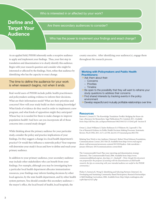#### Who is interested in or affected by your work?

## **Define and Target Your Audience**

Are there secondary audiences to consider?

Who has the power to implement your findings and enact change?

As an applied field, PHSSR inherently seeks a receptive audience to apply and implement your findings. Thus, your first step in translation and dissemination is to clearly identify this audience. Begin with your research question and consider who might be interested or affected by the findings. Next, refine that audience by identifying who has the capacity to enact change.

#### The time to define the audience for your work is when research begins, not when it ends.

Real-world users of PHSSR include public health practitioners and policymakers seeking evidence to inform their decisions. What are their information needs? What are their priorities and concerns? How will your study build on their existing knowledge? What kinds of evidence do they need in order to implement a new program, and what kinds of opposition might they anticipate? Whose buy-in is needed for them to make changes to improve population health? And how can you incorporate all of those concerns into a sound study design?

While thinking about the primary audience for your particular study, consider the policy and practice implications of your findings. Do they suggest a change in a local health department's practice? Or would they influence a statewide policy? Your response will determine your study's focus and how to define and reach your primary audience.

In addition to your primary audience, your secondary audience may include other stakeholders who can benefit from your findings. For example, although you may be investigating how a particular local health department allocates immunization resources, your findings may inform funding decisions by other local agencies, by the state health department, and by other health system partners. You should consider this secondary audience the mayor's office, the local board of health, local hospitals, the

county executive. After identifying your audience(s), engage them throughout the research process.

#### **Working with Policymakers and Public Health Practitioners:**

- $\rightarrow$  Ask them about their:
	- Concerns
	- Priorities
	- Timeline
- $\rightarrow$  Be open to the possibility that they will want to reframe your study questions to address their concerns
- $\rightarrow$  Find shared interests by tracking events in the policy environment
- $\rightarrow$  Develop respectful and mutually profitable relationships over time

#### **Resources**

Bennett G, Jessani N. The Knowledge Translation Toolkit: Bridging the Know-do Gap: a Resource for Researchers. Sage Publications Pvt. Limited; 2011. Available from:<http://idl-bnc.idrc.ca/dspace/bitstream/10625/46152/1/132642.pdf> -Section II

Orton L, Lloyd-Williams F, Taylor-Robinson D, O'Flaherty M, Capewell S. The Use of Research Evidence in Public Health Decision Making Processes: Systematic Review. PLoS ONE; 2011. 6(7): e21704. doi:10.1371/journal.pone.0021704

Relating Your Work to Any Audience [Internet]. Robert Wood Johnson Foundation, Communications Corner; 2013 Feb 20. Available from [http://www.rwjf.org/en/](http://www.rwjf.org/en/about-rwjf/newsroom/newsroom-content/2013/02/leaders--link-newsletter--january-february-2013/communications-corner.html) [about-rwjf/newsroom/newsroom-content/2013/02/leaders--link-newsletter-](http://www.rwjf.org/en/about-rwjf/newsroom/newsroom-content/2013/02/leaders--link-newsletter--january-february-2013/communications-corner.html) [january-february-2013/communications-corner.html](http://www.rwjf.org/en/about-rwjf/newsroom/newsroom-content/2013/02/leaders--link-newsletter--january-february-2013/communications-corner.html)

The Commonwealth Fund. Plan your reporting and dissemination strategy [Internet]. The Commonwealth Fund; 2006. Available from: [http://www.](http://www.commonwealthfund.org/usr_doc/step_6-1_final.pdf) [commonwealthfund.org/usr\\_doc/step\\_6-1\\_final.pdf](http://www.commonwealthfund.org/usr_doc/step_6-1_final.pdf) - *[Note: though this document was prepared for the purposes of assisting with the dissemination of child health research, the tips on connecting with your intended audience are useful to the PHSSR community.]*

Flicker S, Senturia K, Wong K*.* Identifying and Selecting Partners [Internet]. In: Developing and Sustaining Community-Based Participatory Research Partnerships: A Skill-Building Curriculum; 2006. Available from: [http://depts.washington.edu/](http://depts.washington.edu/ccph/cbpr/u2/u21.php) [ccph/cbpr/u2/u21.php](http://depts.washington.edu/ccph/cbpr/u2/u21.php)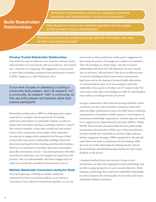### **Build Stakeholder Relationships**

What kind of partnerships should you develop to promote translation and dissemination into policy and practice?

How should you frame your research questions so they speak to the concerns of your stakeholders?

Where does your primary audience typically get their information, and what are their usual trusted sources?

#### Develop Trusted Stakeholder Relationships

One of the best ways to make sure your research is relevant, timely, and actionable is to work directly with your audience—the research user—from the very beginning. This suggestion is a best practice in many fields, including community based participatory research (CBPR) (Tandon et al., 2007; PolicyLink, 2012).

If your work focuses on assessing or solving a community level problem, don't do research "on" a community, do research "with" a community, so they are active players and partners rather than passive participants.

Partnership models such as CBPR are challenging; they require researchers to recognize and incorporate the knowledge, preferences, and wisdom of community residents, as well as to address their own limits and biases, including a desire to "control" their research variables. It takes time to build trust and mutual respect with a community and its leaders. Some researchers are reluctant to engage at the community level because of their concerns that time spent in relationship-building will prevent them from meeting all of their funding and deliverable timelines. However, it is important to remember that some communities – especially communities of color – have had experiences with other researchers in which they were not engaged and respected as full partners. They are understandably reluctant to engage with you unless you can identify mutually beneficial reasons to do so.

#### Maintain Stakeholder Connections during the Study

From the beginning, it will help to include community representatives from your priority audience on an Advisory Committee. If your Advisory Group meets regularly, you can use each session to share preliminary results, garner suggestions for fine-tuning the project, and engage your audience in translation. This will contribute to a better study—and also to trusted relationships with those who will ultimately use your research. You can also have "subcommittees" that focus on different areas of concern, including technical issues such as measurement, legal issues such as the sharing of personal health information, or communications issues, such as messaging to particular stakeholders. Your goal is to develop a set of "receptor nodes" for your work, so that when your findings are ready for dissemination, your audience is looking forward to its arrival.

In larger communities, rather than just having individual citizens as advisors, you may want to include community leaders who represent larger constituencies, such as the faith-based community, representatives of hospitals or health systems, or local chapters of professional membership organizations. Another approach would be to engage Practice-Based Research Networks (PBRNs). Within PHSSR, these networks are partnerships between public health practitioners and researchers. While some of these practitioners may have already been identified as a primary target audience, further engagement through a PBRN expands their role and will make them more likely to implement relevant findings. Make the most out of this relationship by defining specific roles for the practitioners and identifying opportunities for them to give feedback on the project.

Consistent feedback from your Advisory Group or local practitioners can help refine appropriate study methodology and provide a unique perspective on your research objectives. Build, maintain, and leverage these important stakeholder relationships in order to improve the overall quality of your work, and receive invaluable translation assistance.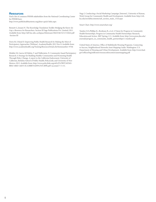#### **Resources**

Find a list of common PHSSR stakeholders from the National Coordinating Center for PHSSR here:

<http://www.publichealthsystems.org/phssr-quick-links.aspx>

Bennett G, Jessani N. The Knowledge Translation Toolkit: Bridging the Know-do Gap: a Resource for Researchers. Section III Sage Publications Pvt. Limited; 2011. Available from:<http://idl-bnc.idrc.ca/dspace/bitstream/10625/46152/1/132642.pdf> -Section III

Davis M, Urland D. Improving Public Health Research by Making the Most of Participatory Approaches [Webinar]. AcademyHealth; 2012 Nov 8. Available from: http://www.academyhealth.org/Training/ResourceDetail.cfm?itemnumber=9746

Minkler M, Garcia AP, Rubin, V and Wallerstein, N. Community-based Participatory Research: A Strategy for Building Healthy Communities and Promoting Health Through Policy Change. A report to the California Endowment. University of California, Berkeley School of Public Health; PolicyLink; and Unvierstiy of New Mexico; 2012. Available from: [http://www.policylink.org/atf/cf/%7B97C6D565-](http://www.policylink.org/atf/cf/%7B97C6D565-BB43-406D-A6D5-ECA3BBF35AF0%7D/CBPR.pdf) [BB43-406D-A6D5-ECA3BBF35AF0%7D/CBPR.pdf](http://www.policylink.org/atf/cf/%7B97C6D565-BB43-406D-A6D5-ECA3BBF35AF0%7D/CBPR.pdf) (accessed 7-5-13).

Nagy J. Conducting a Social Marketing Campaign [Internet]. University of Kansas, Work Group for Community Health and Development. Available from: [http://ctb.](http://ctb.ku.edu/en/tablecontents/sub_section_main_1324.aspx) [ku.edu/en/tablecontents/sub\\_section\\_main\\_1324.aspx](http://ctb.ku.edu/en/tablecontents/sub_section_main_1324.aspx)

Smart Chart.<http://www.smartchart.org/>

Tandon S.D.,Phillips K., Bordeaux B., et al. A Vision for Progress in Community Health Partnerships. Progress in Community Health Partnerships: Research, Education,and Action. 2007 Spring; 1(1). Available from: [http://www.press.jhu.edu/](http://www.press.jhu.edu/journals/progress_in_community_health_partnerships/1.1tandon.pdf) [journals/progress\\_in\\_community\\_health\\_partnerships/1.1tandon.pdf](http://www.press.jhu.edu/journals/progress_in_community_health_partnerships/1.1tandon.pdf)

United States of America. Office of Multifamily Housing Programs. Connecting to Success, Neighborhood Networks Asset Mapping Guide. Washington: U.S. Department of Housing and Urban Development. Available from: [http://www.hud.](http://www.hud.gov/offices/hsg/mfh/nnw/resourcesforcenters/assetmapping.pdf) [gov/offices/hsg/mfh/nnw/resourcesforcenters/assetmapping.pdf](http://www.hud.gov/offices/hsg/mfh/nnw/resourcesforcenters/assetmapping.pdf)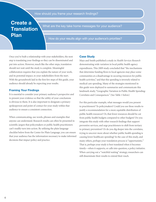#### How should you frame your research findings?

## **Create a Translation Plan**

What are the key take home messages for your audience?

How do your results align with your audience's priorities?

Once you've built a relationship with your stakeholders, the next step is translating your findings so they can be disseminated and put into action. However, much like the other steps, translation should not wait until the study is complete. Meaningful collaboration requires that you explain the nature of your work, and its potential impact, to your stakeholders from the start. With the groundwork laid in the first few steps of this guide, your audience should already be expecting your results.

#### Framing Your Findings

It is essential to consider your primary audience's perspective and to present your evidence so that the utility of your conclusions is obvious to them. It is also important to designate a primary spokesperson and point of contact for your study within that audience to ensure a consistent connection.

When communicating, use words, phrases and examples that anyone can understand. Research results can often be presented in scientific jargon that policymakers or public health practitioners can't readily turn into action. By utilizing the plain language checklist below from the Center for Plain Language, you can ensure that your audience has the information necessary to make informed decisions that impact policy and practice.

#### Case Study

Mays and Smith published a study in *Health Services Research* demonstrating wide variation in local public health agency expenditures. This 2009 study concluded that "the mechanisms that determine funding flows to local agencies may place some communities at a disadvantage in securing resources for public health activities," and that this spending is inversely related to medical care spending. Many of the strategies mentioned in this guide were deployed to summarize and communicate this landmark study, "Geographic Variation in Public Health Spending: Correlates and Consequences." (See Table 1 below)

For this particular example, what messages would you present to practitioners? To policymakers? Could you use these results to justify a recommendation for a more equitable distribution of public health resources? Or, that fewer resources should be cut from public health budgets compared to other budgets? Do you integrate this study with other research findings that support preventive services, and urge practitioners to shift from tertiary to primary prevention? Or do you dig deeper into the correlates, trying to uncover more about whether public health spending is causing lower healthcare spending? In the case of this study, and many others, perhaps your translation process is "opportunistic." That is, perhaps your study is best translated when it becomes timely—when it supports, or calls into question, a policy initiative. When carrying out a "watchful waiting" strategy, researchers can still disseminate their results to extend their reach.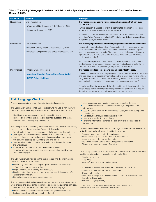#### Table 1. Translating "Geographic Variation in Public Health Spending: Correlates and Consequences" from *Health Services Research* 2009.

| <b>Audience</b>    | <b>Medium</b>                                                                                                                   | <b>Message</b>                                                                                                                                                                                                                                                                                                                                                                                                                                                                                                                                                                                                                                   |
|--------------------|---------------------------------------------------------------------------------------------------------------------------------|--------------------------------------------------------------------------------------------------------------------------------------------------------------------------------------------------------------------------------------------------------------------------------------------------------------------------------------------------------------------------------------------------------------------------------------------------------------------------------------------------------------------------------------------------------------------------------------------------------------------------------------------------|
| <b>Researchers</b> | <b>Oral Presentation</b><br>• University of North Carolina PHSR Seminar, 2009<br>• Keeneland Conference 2011                    | The messaging concerns future research questions that can build<br>on this work.<br>Further research is needed to inform a coordinated allocation of resources<br>from the public health and medical care systems.<br>There is a need for "improved data systems to track not only medical care<br>spending (Cutler, Rosen, and Vijan 2006) but also public health expenditures<br>at national, state, and local levels."                                                                                                                                                                                                                        |
| Practitioners      | Oral Presentation<br>• Arkansas County Health Officers Meeting, 2009<br>• American College of Preventive Medicine Meeting, 2009 | The messaging addresses community disparities and resource allocation.<br>How can the "complex interaction of economic, political, bureaucratic, and<br>health-related factors that place some communities at a disadvantage in<br>securing resources for prevention" be addressed so that communities with<br>high proportions of racial and ethnic minorities no longer face diminished<br>public health funding?<br>If a community spends more on prevention, do they need to spend less on<br>medical care? If a community spends more on medical care, should they re-<br>direct funds to keep people from getting sick in the first place? |
| Policymakers       | Print and Online Publication<br>• American Hospital Association's Trend Watch<br>• RWJF Policy Highlight                        | The messaging focuses on savings and cost effectiveness.<br>"Variation in health care spending suggests opportunities for reduced utilization<br>and cost savings, or the realignment of spending in ways that reward efficien-<br>cy; greater exploration of the factors influencing variation is warranted before<br>such estimates – or policies in response – can reasonably be made."<br>"In order to efficiently use every dollar allocated to public health wisely, this<br>nation needs a uniform system to track public health spending that occurs<br>through a patchwork of national, state and local mechanisms."                    |

#### Plain Language Checklist

A document, web site or other information is in plain language if...

The Basic Approach specifies and considers who will use it, why they will use it, and what tasks they will do with it. Consider if the basic approach:

- Identifies the audiences and is clearly created for them.
- Focuses on the major audiences and their top questions and tasks.
- Does not try to be everything to everyone.

The Design reinforces meaning and makes it easier for the audience to see, process, and use the information. Consider if the design:

- Organizes the information in a sequence that's logical for the audience.
- Uses layout to make information easy to find, understand, and use.
- Uses principles of good design including appropriate typography, font size, line spacing, color, white space, and so on.
- Uses visuals to make concepts, information, and links easier to see and understand.
- For online information, minimizes the number of levels.
- For online information, layers information appropriately, avoiding too much on one page.

The Structure is well-marked so the audience can find the information it needs. Consider if the structure:

- Uses many informative headings to guide the audience to the key information most important to them.
- Helps the audience to quickly complete tasks.
- Breaks content into topics and subtopics that match the audience's needs for information.
- For a document, minimizes cross-references.

The Language minimizes jargon and uses sentence structure, strong verbs, word choice, and other similar techniques to ensure the audience can read, understand, and use the information. Consider if the language:

- Has a conversational style—rather than a stuffy, bureaucratic style.
- Is simple and direct without being too informal.
- Uses reasonably short sections, paragraphs, and sentences.
- Uses sentence structure, especially the verbs, to emphasize key information.
- Uses transitions to show the link between ideas, sections, paragraphs, or sentences.
- Puts titles, headings, and lists in parallel form.
- Uses words familiar to the audience.
- For online information, matches the text of links to the page title the link points to.

The Author—whether an individual or an organization—creates a sense of reliability and trustworthiness. Consider if the author:

- Demonstrates a concern for the audience.
- Anticipates the questions and needs of the audience.
- Uses an appropriate tone for the audience.
- Provides a revision date to show the age of the information.
- Shows how to get additional information.

The Testing conducted is appropriate for the combined impact, importance, and type and number of the audience. Consider if testing:

- Needed to be done.
- Was done.
- Was sufficiently and appropriately robust.

For the Overall assessment, consider if the audience overall can:

- Understand the main purpose and message.
- Complete the task.
- See how the design and the substantive content reinforce each other.
- Scan to find information.
- Follow the language easily.

*Source: Center for Plain Language. Available from the Center's website: http:// centerforplainlanguage.org/about-plain-language/checklist/*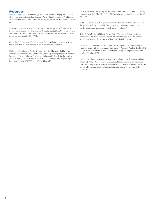#### **Resources**

Bennett G, Jessani N. The Knowledge Translation Toolkit: Bridging the Know-do Gap: a Resource for Researchers. Section IV and V Sage Publications Pvt. Limited; 2011. Available from: [http://idl-bnc.idrc.ca/dspace/bitstream/10625/46152/1/132642.](http://idl-bnc.idrc.ca/dspace/bitstream/10625/46152/1/132642.pdf) [pdf](http://idl-bnc.idrc.ca/dspace/bitstream/10625/46152/1/132642.pdf)

Brownson R, Kreuter M, Arrington B, True W. Translating Scientific Discoveries Into Public Health Action: How Can Schools Of Public Health Move Us Forward? *Public Health Reports*; 2006 Jan-Feb; 121(1): 97–103. Available from: [http://www.ncbi.nlm.](http://www.ncbi.nlm.nih.gov/pmc/articles/PMC1497798/) [nih.gov/pmc/articles/PMC1497798/](http://www.ncbi.nlm.nih.gov/pmc/articles/PMC1497798/)

Center for Plain Language. Plain Language Checklist [Internet]. Available from: <http://centerforplainlanguage.org/about-plain-language/checklist/>

DiClemente R, Salazar L, Crosby R. Health Behavior Theory for Public Health: Principles, Foundations, and Applications [Internet]. Burlington: Jones & Bartlett Learning (US); 2013. Chapter 14, Noonan R, Emshoff J. Translating Research to Practice: Putting "What Works" to Work. 309-34. Available from: [http://samples.](http://samples.jbpub.com/9780763797539/97539_CH14_Final.pdf) [jbpub.com/9780763797539/97539\\_CH14\\_Final.pdf](http://samples.jbpub.com/9780763797539/97539_CH14_Final.pdf)

Dwan K, McInnes P. Increasing the influence of one's research on policy. *Australian Health Review*; 2013 Mar 15; 37, 194–198. Available from: [http://dx.doi.org/10.1071/](http://dx.doi.org/10.1071/AH12158) [AH12158](http://dx.doi.org/10.1071/AH12158)

Frakt A. Research translation: journals are not sufficient. The Incidental Economist (blog) [Internet]. 2011. Available from: [http://theincidentaleconomist.com/](http://theincidentaleconomist.com/wordpress/research-translation-journals-are-not-sufficient/) [wordpress/research-translation-journals-are-not-sufficient/](http://theincidentaleconomist.com/wordpress/research-translation-journals-are-not-sufficient/)

Kelley B, Papa K. *Using HSR to Influence Policy Change and Population Health Improvement* [Internet]. AcademyHealth, Research Insights; 2013 Apr. Available from: <http://www.academyhealth.org/files/RI2013PopHealth.pdf>

Rosengren K, Holubowich E, Cox H. Effective Strategies for Communicating Public Health Findings with the Media and Policymakers [Webinar]. AcademyHealth; 2012 Oct 25. Available from: [http://www.academyhealth.org/Training/ResourceDetail.](http://www.academyhealth.org/Training/ResourceDetail.cfm?ItemNumber=9623) [cfm?ItemNumber=9623](http://www.academyhealth.org/Training/ResourceDetail.cfm?ItemNumber=9623)

Wright G, Voelker K. Making Data Sing: Talking About Research to a Lay Audience [Webinar]. Robert Wood Johnson Foundation, Human Capital Communication Officers Monthly Series of Wednesday Webinars; 2011 Sep 28. Available from: [http://](http://www.rwjfleaders.org/resources/making-data-sing-talking-about-research-lay-audience) [www.rwjfleaders.org/resources/making-data-sing-talking-about-research-lay](http://www.rwjfleaders.org/resources/making-data-sing-talking-about-research-lay-audience)[audience](http://www.rwjfleaders.org/resources/making-data-sing-talking-about-research-lay-audience)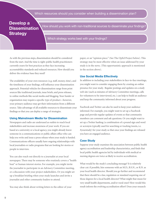## **Develop a Dissemination Strategy**

How should you work with non-traditional sources to disseminate your findings'

Which strategy works best with your findings?

As with the previous steps, dissemination should be considered from the start. And the time is right: public health practitioners currently yearn for best practices as they face increasing accountability standards and reduced resources. How should you deliver the evidence base they need?

The availability of your own resources (e.g. staff, money, time), and the timeliness of your findings, will influence your dissemination approach. Potential vehicles for dissemination range from print sources like traditional journals, issue briefs, and press releases, to online methods like social media and blogging. Your funder or organization may require a specific type of product—however, your primary audience may get their information from a different source. Take advantage of all available resources to disseminate your findings so that you can deploy a range of strategies.

#### Using Mainstream Media for Dissemination

Newspapers and radio are underused as outlets to reach local stakeholders and increase awareness of your work. If you are based at a university or a local agency, you might already know someone in a communications or public affairs office who can help you write and issue a press release when your study is funded. Communications officers usually have ongoing relationships with local journalists or radio programs that are looking for stories or people to interview.

You can also reach out directly to a journalist at your local newspaper. There may be someone who routinely covers a "health beat" or human interest stories. For example, you might invite the journalist to participate in an Advisory Committee meeting, or a discussion with your project stakeholders. Or you might set up a breakfast briefing when your study launches and invite a journalist and other community leaders to attend.

You may also think about writing letters to the editor of your

paper, or an "opinion piece." (See The OpEd Project below). This strategy may be most effective when an issue addressed by your study is in the news. (This opportunistic approach is mentioned in the section above).

#### Use Social Media Effectively

In addition to including your stakeholders in face-to-face meetings, you might want to consider engaging them by creating an online presence for your study. Regular postings and updates on a study web site (such as minutes of Advisory Committee meetings, calls for volunteers to be interviewed, etc.) can help to build an audience and keep the community informed about your progress.

Facebook and Twitter can also be used to keep your audience informed. For example, you might want to set up a Facebook page and provide regular updates of events so that community members can comment and ask questions. Or you might want to set up a Twitter hashtag (a combination of a pound sign and word or acronym typically used for searching or tracking tweets, i.e. #yourstudy) for your study so that once your findings are released you have an engaged audience.

#### Case Study

Suppose your study examines the association between public health agency accreditation and leadership characteristics, and finds that local public health agencies led by individuals with medical or nursing degrees are twice as likely to receive accreditation.

What would be the study's concluding message? It is relatively clear cut: if possible, hire someone with an M.D., B.S.N., or R.N. as your local health director. Should you go further and recommend that there should be a law, regulation or standard requiring one of those degrees for a local health director? What might that mean for very small health departments, and/or rural ones? How would this result inform the evolving accreditation effort? Does your research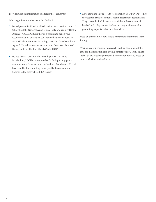provide sufficient information to address these concerns?

Who might be the audience for this finding?

- Would you contact local health departments across the country? What about the National Association of City and County Health Officials (NACCHO)? Are they in a position to act on your recommendation or are they constrained by their mandate to serve ALL their members, including those who don't have those degrees? If you have one, what about your State Association of County and City Health Officials (SACCHO)?
- Do you have a Local Board of Health (LBOH)? In some jurisdictions, LBOHs are responsible for hiring/firing agency administrators. Or what about the National Association of Local Boards of Health, could they more quickly disseminate your findings to the areas where LBOHs exist?

• How about the Public Health Accreditation Board (PHAB), since they set standards for national health department accreditation? They currently don't have a standard about the educational level of health department leaders, but they are interested in promoting a quality public health work force.

Based on this example, how should researchers disseminate these findings?

When considering your own research, start by sketching out the goals for dissemination along with a sample budget. Then, utilize Table 2 below to select your ideal dissemination route(s) based on your conclusions and audience.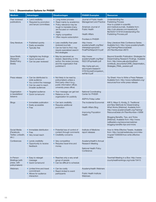#### Table 2. Dissemination Options for PHSSR

| <b>Medium</b>                                                       | <b>Advantages</b>                                                                                                    | <b>Disadvantages</b>                                                                                                                                                                                     | <b>PHSSR Examples</b>                                                                                                                                    | <b>Resources</b>                                                                                                                                                                                                                                                                                                                                                   |
|---------------------------------------------------------------------|----------------------------------------------------------------------------------------------------------------------|----------------------------------------------------------------------------------------------------------------------------------------------------------------------------------------------------------|----------------------------------------------------------------------------------------------------------------------------------------------------------|--------------------------------------------------------------------------------------------------------------------------------------------------------------------------------------------------------------------------------------------------------------------------------------------------------------------------------------------------------------------|
| Peer reviewed<br>publications                                       | • Lend credibility<br>• Required by promotion<br>and tenure committees                                               | • Long review process<br>• Read mainly by academics<br>• Policy relevance may be<br>tough to translate (many<br>are focused on methods/<br>data)<br>• Highly competitive<br>• Often require subscription | Journal of Public Health<br>Management and Practice<br>American Journal of<br><b>Public Health</b><br><b>Health Affairs</b><br><b>Frontiers in PHSSR</b> | Understanding the<br><b>Publishing Process</b><br>How to publish in scientific<br>and medical journals. Available from:<br>http://cdn.elsevier.com/assets/pdf_<br>file/0020/131816/Understanding-the-<br>Publishing-Process.pdf                                                                                                                                    |
| Grey literature                                                     | • Published quickly<br>• Easily accessible<br>• Typically free                                                       | • Less credibility than peer<br>reviewed journals<br>• Can be hard to find; may<br>require specialized search/<br>find strategies                                                                        | http://www.<br>academyhealth.org/files/<br>interestgroups/phsr/<br>FinalPhsrNAjan2010.pdf                                                                | Grey Literature Web Conference Series.<br>Available from: http://www.academyhealth.<br>org/Training/ResourceDetail.<br>cfm?ltemNumber=6670                                                                                                                                                                                                                         |
| <b>Issue Briefs</b><br>(Research<br><b>Briefs/Policy</b><br>Briefs) | • Highlights key findings<br>• Quick turnaround<br>• Can be peer reviewed                                            | • May be perceived as<br>biased, depending on the<br>author, the review process,<br>and the organization that<br>published it                                                                            | http://www.<br>academyhealth.org/files/<br>RI2013PopHealth.pdf<br>http://cphp.sph.unc.<br>edu/ncperrc/research/<br>H1N1AccredComparison_<br>revFeb12.pdf | Beyond Scientific Publication: Strategies for<br>Disseminating Research Findings. Available<br>from: http://www.yale.edu/bioethics/<br>contribute_documents/CARE_Dissemination_<br>Strategies_FINAL_eversion.pdf                                                                                                                                                   |
| Press release                                                       | • Can be distributed to<br>wide audience<br>• You control the message<br>• Can be used to reach<br>broader audiences | • Not likely to be read by<br>policymakers unless a<br>third party cites it (e.g.,<br>public information officer,<br>university press office)                                                            |                                                                                                                                                          | Tip Sheet: How to Write a Press Release.<br>Available from: http://www.rwjfleaders.org/<br>resources/how-write-press-release                                                                                                                                                                                                                                       |
| Organization<br>e-newsletters/<br>listservs                         | • Targeted audience<br>• Quick turnaround                                                                            | • Your message can get lost<br>• Reliance on the<br>organization for publicity                                                                                                                           | <b>National Coordinating</b><br><b>Center for PHSSR</b><br><b>ASPH's Friday Letter</b>                                                                   |                                                                                                                                                                                                                                                                                                                                                                    |
| <b>Blogs</b>                                                        | • Immediate publication<br>• Easily accessible<br>$\bullet$ Free                                                     | • Can lack credibility<br>• Requires additional<br>promotion                                                                                                                                             | The Incidental Economist<br><b>Health Affairs Blog</b><br><b>Improving Population</b><br>Health                                                          | Kliff S, Mays G, Kindig, D. Traditional<br>and New Methods for Disseminating<br>What Works [Webinar]. Available from:<br>http://www.academyhealth.org/Training/<br>ResourceDetail.cfm?ItemNumber=10696<br>Blogging Benefits, Tips, and Tricks<br>[Webinar]. Available from: http://www.<br>rwjfleaders.org/resources/webinar-<br>blogging-benefits-tips-and-tricks |
| Social Media<br>(Facebook,<br>Twitter, LinkedIn,<br>$etc.$ )        | • Immediate distribution<br>$\bullet$ Free<br>• Very broad reach                                                     | • Potential loss of control of<br>content through comments<br>• Credibility concerns                                                                                                                     | Institute of Medicine<br>report releases                                                                                                                 | How to Write Effective Tweets. Available<br>from: http://socialmediatoday.com/mike-<br>mcgrail/1506006/how-write-effective-<br>tweets                                                                                                                                                                                                                              |
| Conferences                                                         | • Lends credibility<br>• Opportunity to receive<br>feedback                                                          | • Very competitive<br>• Requires travel time and<br>money                                                                                                                                                | AcademyHealth's Annual<br><b>Research Meeting</b><br>National Health Policy<br>Conference                                                                |                                                                                                                                                                                                                                                                                                                                                                    |
| In-Person<br><b>Briefings</b> (with<br>press, with<br>policymakers) | • Easy to retarget<br>message<br>• Quick turnaround                                                                  | Reaches only a very small<br>group of people<br>• Can be difficult to schedule                                                                                                                           |                                                                                                                                                          | Townhall Meeting in a Box: http://www.<br>countyhealthrankings.org/node/19415                                                                                                                                                                                                                                                                                      |
| Webinars                                                            | • Limited time and travel<br>commitment<br>• Allows for audience<br>interaction                                      | • Can be costly<br>• Reach limited to event<br>participants                                                                                                                                              | AcademyHealth Webinars<br><b>Public Health Institute</b><br>Webinars                                                                                     |                                                                                                                                                                                                                                                                                                                                                                    |